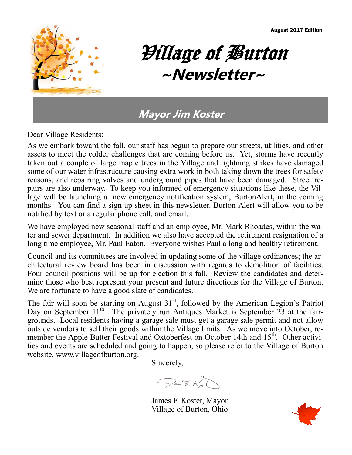August 2017 Edition



# Village of Burton **~Newsletter~**

### **Mayor Jim Koster**

Dear Village Residents:

As we embark toward the fall, our staff has begun to prepare our streets, utilities, and other assets to meet the colder challenges that are coming before us. Yet, storms have recently taken out a couple of large maple trees in the Village and lightning strikes have damaged some of our water infrastructure causing extra work in both taking down the trees for safety reasons, and repairing valves and underground pipes that have been damaged. Street repairs are also underway. To keep you informed of emergency situations like these, the Village will be launching a new emergency notification system, BurtonAlert, in the coming months. You can find a sign up sheet in this newsletter. Burton Alert will allow you to be notified by text or a regular phone call, and email.

We have employed new seasonal staff and an employee, Mr. Mark Rhoades, within the water and sewer department. In addition we also have accepted the retirement resignation of a long time employee, Mr. Paul Eaton. Everyone wishes Paul a long and healthy retirement.

Council and its committees are involved in updating some of the village ordinances; the architectural review board has been in discussion with regards to demolition of facilities. Four council positions will be up for election this fall. Review the candidates and determine those who best represent your present and future directions for the Village of Burton. We are fortunate to have a good slate of candidates.

The fair will soon be starting on August  $31<sup>st</sup>$ , followed by the American Legion's Patriot Day on September 11<sup>th</sup>. The privately run Antiques Market is September 23 at the fairgrounds. Local residents having a garage sale must get a garage sale permit and not allow outside vendors to sell their goods within the Village limits. As we move into October, remember the Apple Butter Festival and Oxtoberfest on October 14th and 15<sup>th</sup>. Other activities and events are scheduled and going to happen, so please refer to the Village of Burton website, www.villageofburton.org.

Sincerely,

 $O-7.5$ 

James F. Koster, Mayor Village of Burton, Ohio

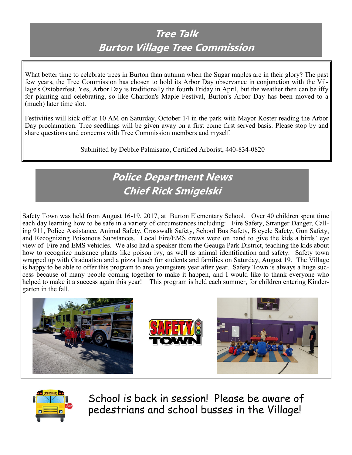### **Tree Talk Burton Village Tree Commission**

What better time to celebrate trees in Burton than autumn when the Sugar maples are in their glory? The past few years, the Tree Commission has chosen to hold its Arbor Day observance in conjunction with the Village's Oxtoberfest. Yes, Arbor Day is traditionally the fourth Friday in April, but the weather then can be iffy for planting and celebrating, so like Chardon's Maple Festival, Burton's Arbor Day has been moved to a (much) later time slot.

Festivities will kick off at 10 AM on Saturday, October 14 in the park with Mayor Koster reading the Arbor Day proclamation. Tree seedlings will be given away on a first come first served basis. Please stop by and share questions and concerns with Tree Commission members and myself.

Submitted by Debbie Palmisano, Certified Arborist, 440-834-0820

### **Police Department News Chief Rick Smigelski**

Safety Town was held from August 16-19, 2017, at Burton Elementary School. Over 40 children spent time each day learning how to be safe in a variety of circumstances including: Fire Safety, Stranger Danger, Calling 911, Police Assistance, Animal Safety, Crosswalk Safety, School Bus Safety, Bicycle Safety, Gun Safety, and Recognizing Poisonous Substances. Local Fire/EMS crews were on hand to give the kids a birds' eye view of Fire and EMS vehicles. We also had a speaker from the Geauga Park District, teaching the kids about how to recognize nuisance plants like poison ivy, as well as animal identification and safety. Safety town wrapped up with Graduation and a pizza lunch for students and families on Saturday, August 19. The Village is happy to be able to offer this program to area youngsters year after year. Safety Town is always a huge success because of many people coming together to make it happen, and I would like to thank everyone who helped to make it a success again this year! This program is held each summer, for children entering Kindergarten in the fall.





School is back in session! Please be aware of pedestrians and school busses in the Village!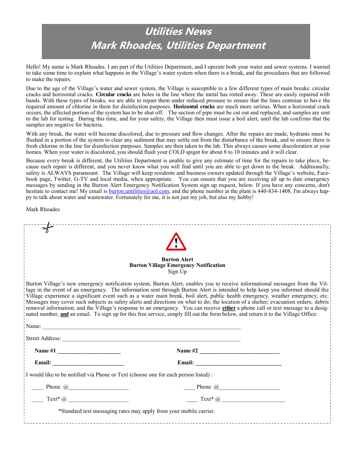## **Utilities News Mark Rhoades, Utilities Department**

Hello! My name is Mark Rhoades. I am part of the Utilities Department, and I operate both your water and sewer systems. I wanted to take some time to explain what happens in the Village's water system when there is a break, and the procedures that are followed to make the repairs.

Due to the age of the Village's water and sewer system, the Village is susceptible to a few different types of main breaks: circular cracks and horizontal cracks. **Circular cracks** are holes in the line where the metal has rotted away. These are easily repaired with bands. With these types of breaks, we are able to repair them under reduced pressure to ensure that the lines continue to have the required amount of chlorine in them for disinfection purposes. **Horizontal cracks** are much more serious. When a horizontal crack occurs, the affected portion of the system has to be shut off. The section of pipe must be cut out and replaced, and samples are sent to the lab for testing. During this time, and for your safety, the Village then must issue a boil alert, until the lab confirms that the samples are negative for bacteria.

With any break, the water will become discolored, due to pressure and flow changes. After the repairs are made, hydrants must be flushed in a portion of the system to clear any sediment that may settle out from the disturbance of the break, and to ensure there is fresh chlorine in the line for disinfection purposes. Samples are then taken to the lab. This always causes some discoloration at your homes. When your water is discolored, you should flush your COLD spigot for about 8 to 10 minutes and it will clear.

Because every break is different, the Utilities Department is unable to give any estimate of time for the repairs to take place, because each repair is different, and you never know what you will find until you are able to get down to the break. Additionally, safety is ALWAYS paramount. The Village will keep residents and business owners updated through the Village's website, Facebook page, Twitter, G-TV and local media, when appropriate. You can ensure that you are receiving all up to date emergency messages by sending in the Burton Alert Emergency Notification System sign up request, below. If you have any concerns, don't hesitate to contact me! My email is **burton.untilities@aol.com**, and the phone number at the plant is 440-834-1408. I'm always happy to talk about water and wastewater. Fortunately for me, it is not just my job, but also my hobby!

Mark Rhoades

|                                                                                                                                                                                                                                                                                                                                                                                                                                 | <b>Burton Alert</b><br><b>Burton Village Emergency Notification</b><br>Sign Up                                                                                                                                                                                                                                                                                                                                                                                                                                                                                                                                                                                                                                                                                                                                                       |  |
|---------------------------------------------------------------------------------------------------------------------------------------------------------------------------------------------------------------------------------------------------------------------------------------------------------------------------------------------------------------------------------------------------------------------------------|--------------------------------------------------------------------------------------------------------------------------------------------------------------------------------------------------------------------------------------------------------------------------------------------------------------------------------------------------------------------------------------------------------------------------------------------------------------------------------------------------------------------------------------------------------------------------------------------------------------------------------------------------------------------------------------------------------------------------------------------------------------------------------------------------------------------------------------|--|
|                                                                                                                                                                                                                                                                                                                                                                                                                                 | 'Burton Village's new emergency notification system, Burton Alert, enables you to receive informational messages from the Vil-<br>lage in the event of an emergency. The information sent through Burton Alert is intended to help keep you informed should the<br>Village experience a significant event such as a water main break, boil alert, public health emergency, weather emergency, etc.<br>Hessages may cover such subjects as safety alerts and directions on what to do; the location of a shelter; evacuation orders; debris<br>removal information; and the Village's response to an emergency. You can receive either a phone call or text message to a desig-<br>arrow and an email. To sign up for this free service, simply fill out the form below, and return it to the Village Office:<br>$\blacksquare$ Name: |  |
| Name #1                                                                                                                                                                                                                                                                                                                                                                                                                         | Name #2                                                                                                                                                                                                                                                                                                                                                                                                                                                                                                                                                                                                                                                                                                                                                                                                                              |  |
|                                                                                                                                                                                                                                                                                                                                                                                                                                 |                                                                                                                                                                                                                                                                                                                                                                                                                                                                                                                                                                                                                                                                                                                                                                                                                                      |  |
| I would like to be notified via Phone or Text (choose one for each person listed):                                                                                                                                                                                                                                                                                                                                              |                                                                                                                                                                                                                                                                                                                                                                                                                                                                                                                                                                                                                                                                                                                                                                                                                                      |  |
| $\frac{1}{\sqrt{1-\frac{1}{2}}}\frac{1}{\sqrt{1-\frac{1}{2}}}\frac{1}{\sqrt{1-\frac{1}{2}}}\frac{1}{\sqrt{1-\frac{1}{2}}}\frac{1}{\sqrt{1-\frac{1}{2}}}\frac{1}{\sqrt{1-\frac{1}{2}}}\frac{1}{\sqrt{1-\frac{1}{2}}}\frac{1}{\sqrt{1-\frac{1}{2}}}\frac{1}{\sqrt{1-\frac{1}{2}}}\frac{1}{\sqrt{1-\frac{1}{2}}}\frac{1}{\sqrt{1-\frac{1}{2}}}\frac{1}{\sqrt{1-\frac{1}{2}}}\frac{1}{\sqrt{1-\frac{1}{2}}}\frac{1}{\sqrt{1-\frac{$ | $\frac{1}{\sqrt{1-\frac{1}{2}}\sqrt{1-\frac{1}{2}}\left(\frac{1}{2}-\frac{1}{2}\right)}$                                                                                                                                                                                                                                                                                                                                                                                                                                                                                                                                                                                                                                                                                                                                             |  |
| $Text^*(@)$                                                                                                                                                                                                                                                                                                                                                                                                                     | $Text^* @$                                                                                                                                                                                                                                                                                                                                                                                                                                                                                                                                                                                                                                                                                                                                                                                                                           |  |
| *Standard text messaging rates may apply from your mobile carrier.                                                                                                                                                                                                                                                                                                                                                              |                                                                                                                                                                                                                                                                                                                                                                                                                                                                                                                                                                                                                                                                                                                                                                                                                                      |  |